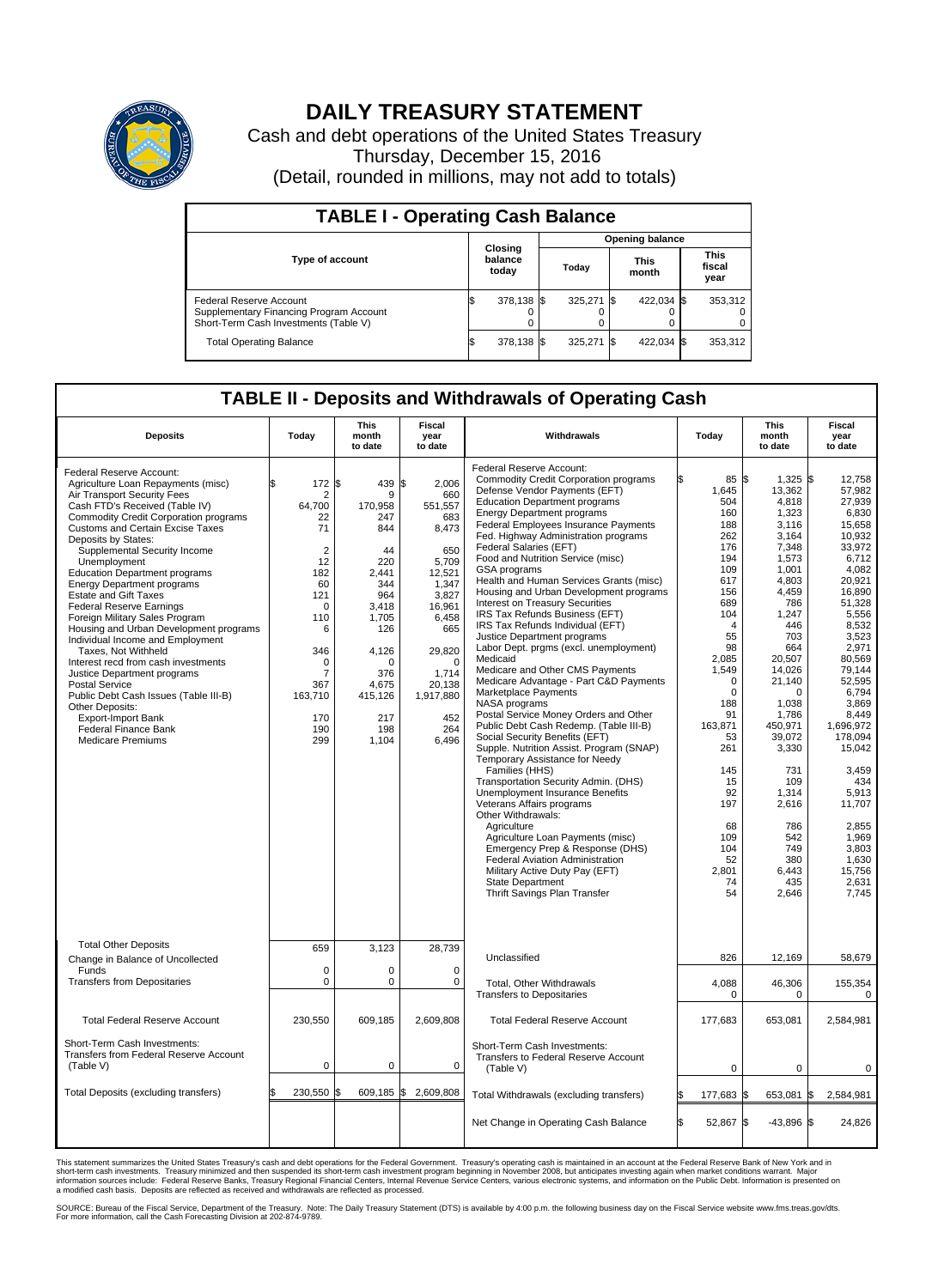

## **DAILY TREASURY STATEMENT**

Cash and debt operations of the United States Treasury Thursday, December 15, 2016 (Detail, rounded in millions, may not add to totals)

| <b>TABLE I - Operating Cash Balance</b>                                                                     |  |                             |  |                        |      |                      |  |                               |  |  |
|-------------------------------------------------------------------------------------------------------------|--|-----------------------------|--|------------------------|------|----------------------|--|-------------------------------|--|--|
|                                                                                                             |  | Closing<br>balance<br>today |  | <b>Opening balance</b> |      |                      |  |                               |  |  |
| <b>Type of account</b>                                                                                      |  |                             |  | Todav                  |      | <b>This</b><br>month |  | <b>This</b><br>fiscal<br>year |  |  |
| Federal Reserve Account<br>Supplementary Financing Program Account<br>Short-Term Cash Investments (Table V) |  | 378,138 \$                  |  | 325.271                | - IS | 422.034 \$           |  | 353,312                       |  |  |
| <b>Total Operating Balance</b>                                                                              |  | 378,138 \$                  |  | 325.271                |      | 422,034 \$           |  | 353,312                       |  |  |

## **TABLE II - Deposits and Withdrawals of Operating Cash**

| <b>Deposits</b>                                                                                                                                                                                                                                                                                                                                                                                                                                                                                                                                                                                                                                                                                                                                                                                                                      | Todav                                                                                                                                                                                         | <b>This</b><br>month<br>to date                                                                                                                                   | Fiscal<br>year<br>to date                                                                                                                                                                  | Withdrawals                                                                                                                                                                                                                                                                                                                                                                                                                                                                                                                                                                                                                                                                                                                                                                                                                                                                                                                                                                                                                                                                                                                                                                                                                                                                                                                                    | Today                                                                                                                                                                                                                                                                                | <b>This</b><br>month<br>to date                                                                                                                                                                                                                                                                                            | Fiscal<br>year<br>to date                                                                                                                                                                                                                                                                                                                           |
|--------------------------------------------------------------------------------------------------------------------------------------------------------------------------------------------------------------------------------------------------------------------------------------------------------------------------------------------------------------------------------------------------------------------------------------------------------------------------------------------------------------------------------------------------------------------------------------------------------------------------------------------------------------------------------------------------------------------------------------------------------------------------------------------------------------------------------------|-----------------------------------------------------------------------------------------------------------------------------------------------------------------------------------------------|-------------------------------------------------------------------------------------------------------------------------------------------------------------------|--------------------------------------------------------------------------------------------------------------------------------------------------------------------------------------------|------------------------------------------------------------------------------------------------------------------------------------------------------------------------------------------------------------------------------------------------------------------------------------------------------------------------------------------------------------------------------------------------------------------------------------------------------------------------------------------------------------------------------------------------------------------------------------------------------------------------------------------------------------------------------------------------------------------------------------------------------------------------------------------------------------------------------------------------------------------------------------------------------------------------------------------------------------------------------------------------------------------------------------------------------------------------------------------------------------------------------------------------------------------------------------------------------------------------------------------------------------------------------------------------------------------------------------------------|--------------------------------------------------------------------------------------------------------------------------------------------------------------------------------------------------------------------------------------------------------------------------------------|----------------------------------------------------------------------------------------------------------------------------------------------------------------------------------------------------------------------------------------------------------------------------------------------------------------------------|-----------------------------------------------------------------------------------------------------------------------------------------------------------------------------------------------------------------------------------------------------------------------------------------------------------------------------------------------------|
| Federal Reserve Account:<br>Agriculture Loan Repayments (misc)<br>Air Transport Security Fees<br>Cash FTD's Received (Table IV)<br><b>Commodity Credit Corporation programs</b><br><b>Customs and Certain Excise Taxes</b><br>Deposits by States:<br>Supplemental Security Income<br>Unemployment<br><b>Education Department programs</b><br><b>Energy Department programs</b><br><b>Estate and Gift Taxes</b><br><b>Federal Reserve Earnings</b><br>Foreign Military Sales Program<br>Housing and Urban Development programs<br>Individual Income and Employment<br>Taxes. Not Withheld<br>Interest recd from cash investments<br>Justice Department programs<br><b>Postal Service</b><br>Public Debt Cash Issues (Table III-B)<br>Other Deposits:<br>Export-Import Bank<br><b>Federal Finance Bank</b><br><b>Medicare Premiums</b> | \$<br>172 \$<br>2<br>64,700<br>22<br>71<br>$\overline{2}$<br>12<br>182<br>60<br>121<br>$\mathbf 0$<br>110<br>6<br>346<br>$\mathbf 0$<br>$\overline{7}$<br>367<br>163,710<br>170<br>190<br>299 | 439 \$<br>9<br>170.958<br>247<br>844<br>44<br>220<br>2.441<br>344<br>964<br>3,418<br>1,705<br>126<br>4,126<br>O<br>376<br>4,675<br>415,126<br>217<br>198<br>1,104 | 2,006<br>660<br>551,557<br>683<br>8,473<br>650<br>5,709<br>12,521<br>1,347<br>3,827<br>16,961<br>6,458<br>665<br>29,820<br>$\Omega$<br>1,714<br>20,138<br>1,917,880<br>452<br>264<br>6,496 | Federal Reserve Account:<br><b>Commodity Credit Corporation programs</b><br>Defense Vendor Payments (EFT)<br><b>Education Department programs</b><br><b>Energy Department programs</b><br><b>Federal Employees Insurance Payments</b><br>Fed. Highway Administration programs<br>Federal Salaries (EFT)<br>Food and Nutrition Service (misc)<br>GSA programs<br>Health and Human Services Grants (misc)<br>Housing and Urban Development programs<br>Interest on Treasury Securities<br>IRS Tax Refunds Business (EFT)<br>IRS Tax Refunds Individual (EFT)<br>Justice Department programs<br>Labor Dept. prgms (excl. unemployment)<br>Medicaid<br>Medicare and Other CMS Payments<br>Medicare Advantage - Part C&D Payments<br>Marketplace Payments<br>NASA programs<br>Postal Service Money Orders and Other<br>Public Debt Cash Redemp. (Table III-B)<br>Social Security Benefits (EFT)<br>Supple. Nutrition Assist. Program (SNAP)<br>Temporary Assistance for Needy<br>Families (HHS)<br>Transportation Security Admin. (DHS)<br><b>Unemployment Insurance Benefits</b><br>Veterans Affairs programs<br>Other Withdrawals:<br>Agriculture<br>Agriculture Loan Payments (misc)<br>Emergency Prep & Response (DHS)<br>Federal Aviation Administration<br>Military Active Duty Pay (EFT)<br>State Department<br>Thrift Savings Plan Transfer | 85 \$<br>1,645<br>504<br>160<br>188<br>262<br>176<br>194<br>109<br>617<br>156<br>689<br>104<br>$\overline{4}$<br>55<br>98<br>2,085<br>1,549<br>$\Omega$<br>$\mathbf 0$<br>188<br>91<br>163,871<br>53<br>261<br>145<br>15<br>92<br>197<br>68<br>109<br>104<br>52<br>2.801<br>74<br>54 | 1,325 \$<br>13,362<br>4,818<br>1,323<br>3,116<br>3,164<br>7,348<br>1,573<br>1,001<br>4,803<br>4,459<br>786<br>1,247<br>446<br>703<br>664<br>20.507<br>14,026<br>21,140<br>$\mathbf 0$<br>1,038<br>1,786<br>450,971<br>39,072<br>3,330<br>731<br>109<br>1.314<br>2,616<br>786<br>542<br>749<br>380<br>6.443<br>435<br>2,646 | 12.758<br>57.982<br>27,939<br>6,830<br>15,658<br>10,932<br>33,972<br>6,712<br>4,082<br>20,921<br>16,890<br>51,328<br>5,556<br>8,532<br>3.523<br>2,971<br>80.569<br>79,144<br>52.595<br>6,794<br>3.869<br>8,449<br>1,696,972<br>178,094<br>15,042<br>3,459<br>434<br>5,913<br>11,707<br>2.855<br>1,969<br>3,803<br>1,630<br>15,756<br>2,631<br>7,745 |
| <b>Total Other Deposits</b><br>Change in Balance of Uncollected                                                                                                                                                                                                                                                                                                                                                                                                                                                                                                                                                                                                                                                                                                                                                                      | 659                                                                                                                                                                                           | 3,123                                                                                                                                                             | 28,739                                                                                                                                                                                     | Unclassified                                                                                                                                                                                                                                                                                                                                                                                                                                                                                                                                                                                                                                                                                                                                                                                                                                                                                                                                                                                                                                                                                                                                                                                                                                                                                                                                   | 826                                                                                                                                                                                                                                                                                  | 12,169                                                                                                                                                                                                                                                                                                                     | 58,679                                                                                                                                                                                                                                                                                                                                              |
| Funds<br><b>Transfers from Depositaries</b>                                                                                                                                                                                                                                                                                                                                                                                                                                                                                                                                                                                                                                                                                                                                                                                          | $\mathbf 0$<br>$\mathbf 0$                                                                                                                                                                    | 0<br>0                                                                                                                                                            | 0<br>$\mathbf 0$                                                                                                                                                                           | Total, Other Withdrawals<br><b>Transfers to Depositaries</b>                                                                                                                                                                                                                                                                                                                                                                                                                                                                                                                                                                                                                                                                                                                                                                                                                                                                                                                                                                                                                                                                                                                                                                                                                                                                                   | 4,088<br>0                                                                                                                                                                                                                                                                           | 46,306<br>0                                                                                                                                                                                                                                                                                                                | 155,354<br>0                                                                                                                                                                                                                                                                                                                                        |
| <b>Total Federal Reserve Account</b>                                                                                                                                                                                                                                                                                                                                                                                                                                                                                                                                                                                                                                                                                                                                                                                                 | 230,550                                                                                                                                                                                       | 609,185                                                                                                                                                           | 2,609,808                                                                                                                                                                                  | <b>Total Federal Reserve Account</b>                                                                                                                                                                                                                                                                                                                                                                                                                                                                                                                                                                                                                                                                                                                                                                                                                                                                                                                                                                                                                                                                                                                                                                                                                                                                                                           | 177,683                                                                                                                                                                                                                                                                              | 653,081                                                                                                                                                                                                                                                                                                                    | 2,584,981                                                                                                                                                                                                                                                                                                                                           |
| Short-Term Cash Investments:<br>Transfers from Federal Reserve Account<br>(Table V)                                                                                                                                                                                                                                                                                                                                                                                                                                                                                                                                                                                                                                                                                                                                                  | $\mathbf 0$                                                                                                                                                                                   | 0                                                                                                                                                                 | $\mathbf 0$                                                                                                                                                                                | Short-Term Cash Investments:<br>Transfers to Federal Reserve Account<br>(Table V)                                                                                                                                                                                                                                                                                                                                                                                                                                                                                                                                                                                                                                                                                                                                                                                                                                                                                                                                                                                                                                                                                                                                                                                                                                                              | $\mathbf 0$                                                                                                                                                                                                                                                                          | $\mathbf 0$                                                                                                                                                                                                                                                                                                                | 0                                                                                                                                                                                                                                                                                                                                                   |
| Total Deposits (excluding transfers)                                                                                                                                                                                                                                                                                                                                                                                                                                                                                                                                                                                                                                                                                                                                                                                                 | \$<br>230,550                                                                                                                                                                                 | 1\$<br>609,185 \$                                                                                                                                                 | 2,609,808                                                                                                                                                                                  | Total Withdrawals (excluding transfers)                                                                                                                                                                                                                                                                                                                                                                                                                                                                                                                                                                                                                                                                                                                                                                                                                                                                                                                                                                                                                                                                                                                                                                                                                                                                                                        | 177,683                                                                                                                                                                                                                                                                              | 653,081<br>1\$                                                                                                                                                                                                                                                                                                             | 1\$<br>2,584,981                                                                                                                                                                                                                                                                                                                                    |
|                                                                                                                                                                                                                                                                                                                                                                                                                                                                                                                                                                                                                                                                                                                                                                                                                                      |                                                                                                                                                                                               |                                                                                                                                                                   |                                                                                                                                                                                            | Net Change in Operating Cash Balance                                                                                                                                                                                                                                                                                                                                                                                                                                                                                                                                                                                                                                                                                                                                                                                                                                                                                                                                                                                                                                                                                                                                                                                                                                                                                                           | l\$<br>52,867                                                                                                                                                                                                                                                                        | l\$<br>$-43,896$ \$                                                                                                                                                                                                                                                                                                        | 24,826                                                                                                                                                                                                                                                                                                                                              |

This statement summarizes the United States Treasury's cash and debt operations for the Federal Government. Treasury's operating cash is maintained in an account at the Federal Reserve Bank of New York and in<br>short-term ca

SOURCE: Bureau of the Fiscal Service, Department of the Treasury. Note: The Daily Treasury Statement (DTS) is available by 4:00 p.m. the following business day on the Fiscal Service website www.fms.treas.gov/dts.<br>For more